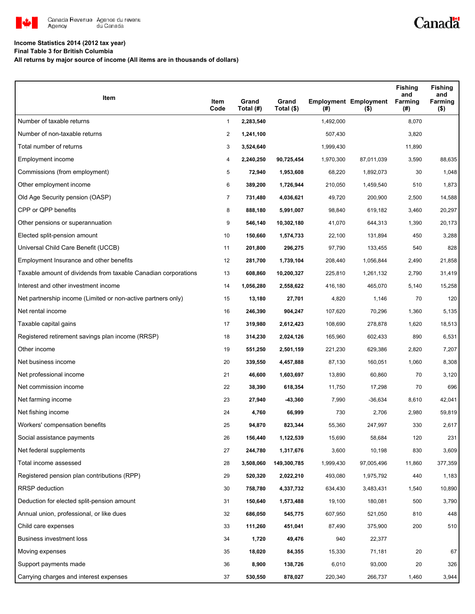

## **Income Statistics 2014 (2012 tax year)**

**Final Table 3 for British Columbia**

**All returns by major source of income (All items are in thousands of dollars)**

| Item                                                           | Item<br>Code   | Grand<br>Total (#) | Grand<br>Total (\$) | $($ #)    | <b>Employment Employment</b><br>$($ \$) | <b>Fishing</b><br>and<br>Farming<br>(#) | <b>Fishing</b><br>and<br>Farming<br>$($ \$) |
|----------------------------------------------------------------|----------------|--------------------|---------------------|-----------|-----------------------------------------|-----------------------------------------|---------------------------------------------|
| Number of taxable returns                                      | $\mathbf{1}$   | 2,283,540          |                     | 1,492,000 |                                         | 8,070                                   |                                             |
| Number of non-taxable returns                                  | 2              | 1,241,100          |                     | 507,430   |                                         | 3,820                                   |                                             |
| Total number of returns                                        | 3              | 3,524,640          |                     | 1,999,430 |                                         | 11,890                                  |                                             |
| Employment income                                              | 4              | 2,240,250          | 90,725,454          | 1,970,300 | 87,011,039                              | 3,590                                   | 88,635                                      |
| Commissions (from employment)                                  | 5              | 72,940             | 1,953,608           | 68,220    | 1,892,073                               | 30                                      | 1,048                                       |
| Other employment income                                        | 6              | 389,200            | 1,726,944           | 210,050   | 1,459,540                               | 510                                     | 1,873                                       |
| Old Age Security pension (OASP)                                | $\overline{7}$ | 731,480            | 4,036,621           | 49,720    | 200,900                                 | 2,500                                   | 14,588                                      |
| CPP or QPP benefits                                            | 8              | 888,180            | 5,991,007           | 98,840    | 619,182                                 | 3,460                                   | 20,297                                      |
| Other pensions or superannuation                               | 9              | 546,140            | 10,302,180          | 41,070    | 644,313                                 | 1,390                                   | 20,173                                      |
| Elected split-pension amount                                   | 10             | 150,660            | 1,574,733           | 22,100    | 131,894                                 | 450                                     | 3,288                                       |
| Universal Child Care Benefit (UCCB)                            | 11             | 201,800            | 296,275             | 97,790    | 133,455                                 | 540                                     | 828                                         |
| Employment Insurance and other benefits                        | 12             | 281,700            | 1,739,104           | 208,440   | 1,056,844                               | 2,490                                   | 21,858                                      |
| Taxable amount of dividends from taxable Canadian corporations | 13             | 608,860            | 10,200,327          | 225,810   | 1,261,132                               | 2,790                                   | 31,419                                      |
| Interest and other investment income                           | 14             | 1,056,280          | 2,558,622           | 416,180   | 465,070                                 | 5,140                                   | 15,258                                      |
| Net partnership income (Limited or non-active partners only)   | 15             | 13,180             | 27,701              | 4,820     | 1,146                                   | 70                                      | 120                                         |
| Net rental income                                              | 16             | 246,390            | 904,247             | 107,620   | 70,296                                  | 1,360                                   | 5,135                                       |
| Taxable capital gains                                          | 17             | 319,980            | 2,612,423           | 108,690   | 278,878                                 | 1,620                                   | 18,513                                      |
| Registered retirement savings plan income (RRSP)               | 18             | 314,230            | 2,024,126           | 165,960   | 602,433                                 | 890                                     | 6,531                                       |
| Other income                                                   | 19             | 551,250            | 2,501,159           | 221,230   | 629,386                                 | 2,820                                   | 7,207                                       |
| Net business income                                            | 20             | 339,550            | 4,457,888           | 87,130    | 160,051                                 | 1,060                                   | 8,308                                       |
| Net professional income                                        | 21             | 46,600             | 1,603,697           | 13,890    | 60,860                                  | 70                                      | 3,120                                       |
| Net commission income                                          | 22             | 38,390             | 618,354             | 11,750    | 17,298                                  | 70                                      | 696                                         |
| Net farming income                                             | 23             | 27,940             | -43,360             | 7,990     | $-36,634$                               | 8,610                                   | 42,041                                      |
| Net fishing income                                             | 24             | 4,760              | 66,999              | 730       | 2,706                                   | 2,980                                   | 59,819                                      |
| Workers' compensation benefits                                 | 25             | 94,870             | 823,344             | 55,360    | 247,997                                 | 330                                     | 2,617                                       |
| Social assistance payments                                     | 26             | 156,440            | 1,122,539           | 15,690    | 58,684                                  | 120                                     | 231                                         |
| Net federal supplements                                        | 27             | 244,780            | 1,317,676           | 3,600     | 10,198                                  | 830                                     | 3,609                                       |
| Total income assessed                                          | 28             | 3,508,060          | 149,300,785         | 1,999,430 | 97,005,496                              | 11,860                                  | 377,359                                     |
| Registered pension plan contributions (RPP)                    | 29             | 520,320            | 2,022,210           | 493,080   | 1,975,792                               | 440                                     | 1,183                                       |
| <b>RRSP</b> deduction                                          | 30             | 758,780            | 4,337,732           | 634,430   | 3,483,431                               | 1,540                                   | 10,890                                      |
| Deduction for elected split-pension amount                     | 31             | 150,640            | 1,573,488           | 19,100    | 180,081                                 | 500                                     | 3,790                                       |
| Annual union, professional, or like dues                       | 32             | 686,050            | 545,775             | 607,950   | 521,050                                 | 810                                     | 448                                         |
| Child care expenses                                            | 33             | 111,260            | 451,041             | 87,490    | 375,900                                 | 200                                     | 510                                         |
| Business investment loss                                       | 34             | 1,720              | 49,476              | 940       | 22,377                                  |                                         |                                             |
| Moving expenses                                                | 35             | 18,020             | 84,355              | 15,330    | 71,181                                  | 20                                      | 67                                          |
| Support payments made                                          | 36             | 8,900              | 138,726             | 6,010     | 93,000                                  | 20                                      | 326                                         |
| Carrying charges and interest expenses                         | 37             | 530,550            | 878,027             | 220,340   | 266,737                                 | 1,460                                   | 3,944                                       |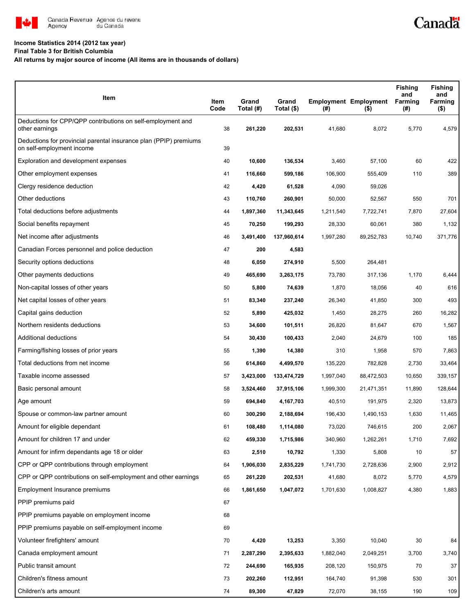

## **Income Statistics 2014 (2012 tax year)**

**Final Table 3 for British Columbia**

## **All returns by major source of income (All items are in thousands of dollars)**

| Item                                                                                           | Item<br>Code | Grand<br>Total (#) | Grand<br>Total (\$) | (#)       | <b>Employment Employment</b><br>$($ \$) | <b>Fishing</b><br>and<br>Farming<br>(#) | <b>Fishing</b><br>and<br>Farming<br>$($ \$) |
|------------------------------------------------------------------------------------------------|--------------|--------------------|---------------------|-----------|-----------------------------------------|-----------------------------------------|---------------------------------------------|
| Deductions for CPP/QPP contributions on self-employment and<br>other earnings                  | 38           | 261,220            | 202,531             | 41,680    | 8,072                                   | 5,770                                   | 4,579                                       |
| Deductions for provincial parental insurance plan (PPIP) premiums<br>on self-employment income | 39           |                    |                     |           |                                         |                                         |                                             |
| Exploration and development expenses                                                           | 40           | 10,600             | 136,534             | 3,460     | 57,100                                  | 60                                      | 422                                         |
| Other employment expenses                                                                      | 41           | 116,660            | 599,186             | 106,900   | 555,409                                 | 110                                     | 389                                         |
| Clergy residence deduction                                                                     | 42           | 4,420              | 61,528              | 4,090     | 59,026                                  |                                         |                                             |
| Other deductions                                                                               | 43           | 110,760            | 260,901             | 50,000    | 52,567                                  | 550                                     | 701                                         |
| Total deductions before adjustments                                                            | 44           | 1,897,360          | 11,343,645          | 1,211,540 | 7,722,741                               | 7,870                                   | 27,604                                      |
| Social benefits repayment                                                                      | 45           | 70,250             | 199,293             | 28,330    | 60,061                                  | 380                                     | 1,132                                       |
| Net income after adjustments                                                                   | 46           | 3,491,400          | 137,960,614         | 1,997,280 | 89,252,783                              | 10,740                                  | 371,776                                     |
| Canadian Forces personnel and police deduction                                                 | 47           | 200                | 4,583               |           |                                         |                                         |                                             |
| Security options deductions                                                                    | 48           | 6,050              | 274,910             | 5,500     | 264,481                                 |                                         |                                             |
| Other payments deductions                                                                      | 49           | 465,690            | 3,263,175           | 73,780    | 317,136                                 | 1,170                                   | 6,444                                       |
| Non-capital losses of other years                                                              | 50           | 5,800              | 74,639              | 1,870     | 18,056                                  | 40                                      | 616                                         |
| Net capital losses of other years                                                              | 51           | 83,340             | 237,240             | 26,340    | 41,850                                  | 300                                     | 493                                         |
| Capital gains deduction                                                                        | 52           | 5,890              | 425,032             | 1,450     | 28,275                                  | 260                                     | 16,282                                      |
| Northern residents deductions                                                                  | 53           | 34,600             | 101,511             | 26,820    | 81,647                                  | 670                                     | 1,567                                       |
| Additional deductions                                                                          | 54           | 30,430             | 100,433             | 2,040     | 24,679                                  | 100                                     | 185                                         |
| Farming/fishing losses of prior years                                                          | 55           | 1,390              | 14,380              | 310       | 1,958                                   | 570                                     | 7,863                                       |
| Total deductions from net income                                                               | 56           | 614,860            | 4,499,570           | 135,220   | 782,828                                 | 2,730                                   | 33,464                                      |
| Taxable income assessed                                                                        | 57           | 3,423,000          | 133,474,729         | 1,997,040 | 88,472,503                              | 10,650                                  | 339,157                                     |
| Basic personal amount                                                                          | 58           | 3,524,460          | 37,915,106          | 1,999,300 | 21,471,351                              | 11,890                                  | 128,644                                     |
| Age amount                                                                                     | 59           | 694,840            | 4,167,703           | 40,510    | 191,975                                 | 2,320                                   | 13,873                                      |
| Spouse or common-law partner amount                                                            | 60           | 300,290            | 2,188,694           | 196,430   | 1,490,153                               | 1,630                                   | 11,465                                      |
| Amount for eligible dependant                                                                  | 61           | 108.480            | 1,114,080           | 73,020    | 746,615                                 | 200                                     | 2,067                                       |
| Amount for children 17 and under                                                               | 62           | 459,330            | 1,715,986           | 340,960   | 1,262,261                               | 1,710                                   | 7,692                                       |
| Amount for infirm dependants age 18 or older                                                   | 63           | 2,510              | 10,792              | 1,330     | 5,808                                   | 10                                      | 57                                          |
| CPP or QPP contributions through employment                                                    | 64           | 1,906,030          | 2,835,229           | 1,741,730 | 2,728,636                               | 2,900                                   | 2,912                                       |
| CPP or QPP contributions on self-employment and other earnings                                 | 65           | 261,220            | 202,531             | 41,680    | 8,072                                   | 5,770                                   | 4,579                                       |
| Employment Insurance premiums                                                                  | 66           | 1,861,650          | 1,047,072           | 1,701,630 | 1,008,827                               | 4,380                                   | 1,883                                       |
| PPIP premiums paid                                                                             | 67           |                    |                     |           |                                         |                                         |                                             |
| PPIP premiums payable on employment income                                                     | 68           |                    |                     |           |                                         |                                         |                                             |
| PPIP premiums payable on self-employment income                                                | 69           |                    |                     |           |                                         |                                         |                                             |
| Volunteer firefighters' amount                                                                 | 70           | 4,420              | 13,253              | 3,350     | 10,040                                  | 30                                      | 84                                          |
| Canada employment amount                                                                       | 71           | 2,287,290          | 2,395,633           | 1,882,040 | 2,049,251                               | 3,700                                   | 3,740                                       |
| Public transit amount                                                                          | 72           | 244,690            | 165,935             | 208,120   | 150,975                                 | 70                                      | 37                                          |
| Children's fitness amount                                                                      | 73           | 202,260            | 112,951             | 164,740   | 91,398                                  | 530                                     | 301                                         |
| Children's arts amount                                                                         | 74           | 89,300             | 47,829              | 72,070    | 38,155                                  | 190                                     | 109                                         |

Canadä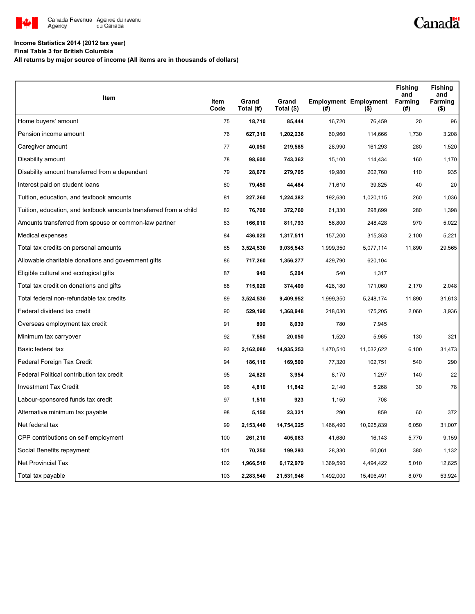

## **Income Statistics 2014 (2012 tax year)**

**Final Table 3 for British Columbia**

**All returns by major source of income (All items are in thousands of dollars)**

| Item                                                              |              | Grand     | Grand      |           | <b>Employment Employment</b> | <b>Fishing</b><br>and<br>Farming | <b>Fishing</b><br>and<br>Farming |
|-------------------------------------------------------------------|--------------|-----------|------------|-----------|------------------------------|----------------------------------|----------------------------------|
|                                                                   | Item<br>Code | Total (#) | Total (\$) | (#)       | $($ \$)                      | (#)                              | $($ \$)                          |
| Home buyers' amount                                               | 75           | 18,710    | 85,444     | 16,720    | 76,459                       | 20                               | 96                               |
| Pension income amount                                             | 76           | 627,310   | 1,202,236  | 60,960    | 114,666                      | 1,730                            | 3,208                            |
| Caregiver amount                                                  | 77           | 40,050    | 219,585    | 28,990    | 161,293                      | 280                              | 1,520                            |
| Disability amount                                                 | 78           | 98,600    | 743,362    | 15,100    | 114,434                      | 160                              | 1,170                            |
| Disability amount transferred from a dependant                    | 79           | 28,670    | 279,705    | 19,980    | 202,760                      | 110                              | 935                              |
| Interest paid on student loans                                    | 80           | 79,450    | 44,464     | 71,610    | 39,825                       | 40                               | 20                               |
| Tuition, education, and textbook amounts                          | 81           | 227,260   | 1,224,382  | 192,630   | 1,020,115                    | 260                              | 1,036                            |
| Tuition, education, and textbook amounts transferred from a child | 82           | 76,700    | 372,760    | 61,330    | 298,699                      | 280                              | 1,398                            |
| Amounts transferred from spouse or common-law partner             | 83           | 166,010   | 811,793    | 56,800    | 248,428                      | 970                              | 5,022                            |
| Medical expenses                                                  | 84           | 436,020   | 1,317,511  | 157,200   | 315,353                      | 2,100                            | 5,221                            |
| Total tax credits on personal amounts                             | 85           | 3,524,530 | 9,035,543  | 1,999,350 | 5,077,114                    | 11,890                           | 29,565                           |
| Allowable charitable donations and government gifts               | 86           | 717,260   | 1,356,277  | 429,790   | 620,104                      |                                  |                                  |
| Eligible cultural and ecological gifts                            | 87           | 940       | 5,204      | 540       | 1,317                        |                                  |                                  |
| Total tax credit on donations and gifts                           | 88           | 715,020   | 374,409    | 428,180   | 171,060                      | 2,170                            | 2,048                            |
| Total federal non-refundable tax credits                          | 89           | 3,524,530 | 9,409,952  | 1,999,350 | 5,248,174                    | 11,890                           | 31,613                           |
| Federal dividend tax credit                                       | 90           | 529,190   | 1,368,948  | 218,030   | 175,205                      | 2,060                            | 3,936                            |
| Overseas employment tax credit                                    | 91           | 800       | 8,039      | 780       | 7,945                        |                                  |                                  |
| Minimum tax carryover                                             | 92           | 7,550     | 20,050     | 1,520     | 5,965                        | 130                              | 321                              |
| Basic federal tax                                                 | 93           | 2,162,080 | 14,935,253 | 1,470,510 | 11,032,622                   | 6,100                            | 31,473                           |
| Federal Foreign Tax Credit                                        | 94           | 186,110   | 169,509    | 77,320    | 102,751                      | 540                              | 290                              |
| Federal Political contribution tax credit                         | 95           | 24,820    | 3,954      | 8,170     | 1,297                        | 140                              | 22                               |
| <b>Investment Tax Credit</b>                                      | 96           | 4,810     | 11,842     | 2,140     | 5,268                        | 30                               | 78                               |
| Labour-sponsored funds tax credit                                 | 97           | 1,510     | 923        | 1,150     | 708                          |                                  |                                  |
| Alternative minimum tax payable                                   | 98           | 5,150     | 23,321     | 290       | 859                          | 60                               | 372                              |
| Net federal tax                                                   | 99           | 2,153,440 | 14,754,225 | 1,466,490 | 10,925,839                   | 6,050                            | 31,007                           |
| CPP contributions on self-employment                              | 100          | 261,210   | 405,063    | 41,680    | 16,143                       | 5,770                            | 9,159                            |
| Social Benefits repayment                                         | 101          | 70,250    | 199,293    | 28,330    | 60,061                       | 380                              | 1,132                            |
| <b>Net Provincial Tax</b>                                         | 102          | 1,966,510 | 6,172,979  | 1,369,590 | 4,494,422                    | 5,010                            | 12,625                           |
| Total tax payable                                                 | 103          | 2,283,540 | 21,531,946 | 1,492,000 | 15,496,491                   | 8,070                            | 53,924                           |

Canadä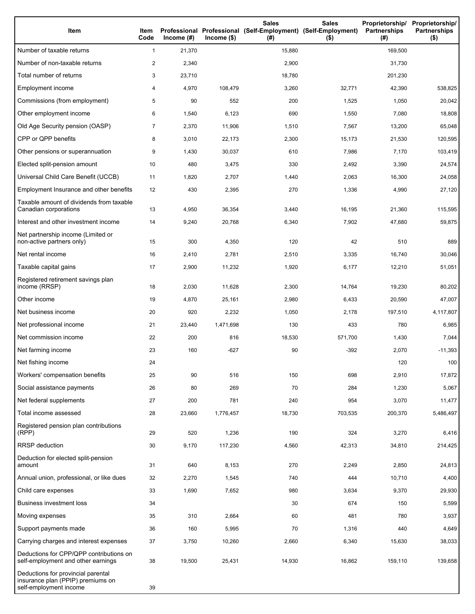| Item                                                                                              | Item<br>Code   | Income $(\#)$ | $Income$ (\$) | <b>Sales</b><br>Professional Professional (Self-Employment) (Self-Employment)<br>(#) | <b>Sales</b><br>$($ \$) | Proprietorship/<br><b>Partnerships</b><br>(#) | Proprietorship/<br><b>Partnerships</b><br>$($ \$) |
|---------------------------------------------------------------------------------------------------|----------------|---------------|---------------|--------------------------------------------------------------------------------------|-------------------------|-----------------------------------------------|---------------------------------------------------|
| Number of taxable returns                                                                         | $\mathbf{1}$   | 21,370        |               | 15,880                                                                               |                         | 169,500                                       |                                                   |
| Number of non-taxable returns                                                                     | $\overline{c}$ | 2,340         |               | 2,900                                                                                |                         | 31,730                                        |                                                   |
| Total number of returns                                                                           | 3              | 23,710        |               | 18,780                                                                               |                         | 201,230                                       |                                                   |
| Employment income                                                                                 | 4              | 4,970         | 108,479       | 3,260                                                                                | 32,771                  | 42,390                                        | 538,825                                           |
| Commissions (from employment)                                                                     | 5              | 90            | 552           | 200                                                                                  | 1,525                   | 1,050                                         | 20,042                                            |
| Other employment income                                                                           | 6              | 1,540         | 6,123         | 690                                                                                  | 1,550                   | 7,080                                         | 18,808                                            |
| Old Age Security pension (OASP)                                                                   | $\overline{7}$ | 2,370         | 11,906        | 1,510                                                                                | 7,567                   | 13,200                                        | 65,048                                            |
| CPP or QPP benefits                                                                               | 8              | 3,010         | 22,173        | 2,300                                                                                | 15,173                  | 21,530                                        | 120,595                                           |
| Other pensions or superannuation                                                                  | 9              | 1,430         | 30,037        | 610                                                                                  | 7,986                   | 7,170                                         | 103,419                                           |
| Elected split-pension amount                                                                      | 10             | 480           | 3,475         | 330                                                                                  | 2,492                   | 3,390                                         | 24,574                                            |
| Universal Child Care Benefit (UCCB)                                                               | 11             | 1,820         | 2,707         | 1,440                                                                                | 2,063                   | 16,300                                        | 24,058                                            |
| Employment Insurance and other benefits                                                           | 12             | 430           | 2,395         | 270                                                                                  | 1,336                   | 4,990                                         | 27,120                                            |
| Taxable amount of dividends from taxable<br>Canadian corporations                                 | 13             | 4,950         | 36,354        | 3,440                                                                                | 16,195                  | 21,360                                        | 115,595                                           |
| Interest and other investment income                                                              | 14             | 9,240         | 20,768        | 6,340                                                                                | 7,902                   | 47,680                                        | 59,875                                            |
| Net partnership income (Limited or<br>non-active partners only)                                   | 15             | 300           | 4,350         | 120                                                                                  | 42                      | 510                                           | 889                                               |
| Net rental income                                                                                 | 16             | 2,410         | 2,781         | 2,510                                                                                | 3,335                   | 16,740                                        | 30,046                                            |
| Taxable capital gains                                                                             | 17             | 2,900         | 11,232        | 1,920                                                                                | 6,177                   | 12,210                                        | 51,051                                            |
| Registered retirement savings plan<br>income (RRSP)                                               | 18             | 2,030         | 11,628        | 2,300                                                                                | 14,764                  | 19,230                                        | 80,202                                            |
| Other income                                                                                      | 19             | 4,870         | 25,161        | 2,980                                                                                | 6,433                   | 20,590                                        | 47,007                                            |
| Net business income                                                                               | 20             | 920           | 2,232         | 1,050                                                                                | 2,178                   | 197,510                                       | 4,117,807                                         |
| Net professional income                                                                           | 21             | 23,440        | 1,471,698     | 130                                                                                  | 433                     | 780                                           | 6,985                                             |
| Net commission income                                                                             | 22             | 200           | 816           | 18,530                                                                               | 571,700                 | 1,430                                         | 7,044                                             |
| Net farming income                                                                                | 23             | 160           | $-627$        | 90                                                                                   | $-392$                  | 2,070                                         | $-11,393$                                         |
| Net fishing income                                                                                | 24             |               |               |                                                                                      |                         | 120                                           | 100                                               |
| Workers' compensation benefits                                                                    | 25             | 90            | 516           | 150                                                                                  | 698                     | 2,910                                         | 17,872                                            |
| Social assistance payments                                                                        | 26             | 80            | 269           | 70                                                                                   | 284                     | 1,230                                         | 5,067                                             |
| Net federal supplements                                                                           | 27             | 200           | 781           | 240                                                                                  | 954                     | 3,070                                         | 11,477                                            |
| Total income assessed                                                                             | 28             | 23,660        | 1,776,457     | 18,730                                                                               | 703,535                 | 200,370                                       | 5,486,497                                         |
| Registered pension plan contributions<br>(RPP)                                                    | 29             | 520           | 1,236         | 190                                                                                  | 324                     | 3,270                                         | 6,416                                             |
| RRSP deduction                                                                                    | 30             | 9,170         | 117,230       | 4,560                                                                                | 42,313                  | 34,810                                        | 214,425                                           |
| Deduction for elected split-pension<br>amount                                                     | 31             | 640           | 8,153         | 270                                                                                  | 2,249                   | 2,850                                         | 24,813                                            |
| Annual union, professional, or like dues                                                          | 32             | 2,270         | 1,545         | 740                                                                                  | 444                     | 10,710                                        | 4,400                                             |
| Child care expenses                                                                               | 33             | 1,690         | 7,652         | 980                                                                                  | 3,634                   | 9,370                                         | 29,930                                            |
| <b>Business investment loss</b>                                                                   | 34             |               |               | 30                                                                                   | 674                     | 150                                           | 5,599                                             |
| Moving expenses                                                                                   | 35             | 310           | 2,664         | 60                                                                                   | 481                     | 780                                           | 3,937                                             |
| Support payments made                                                                             | 36             | 160           | 5,995         | 70                                                                                   | 1,316                   | 440                                           | 4,649                                             |
| Carrying charges and interest expenses                                                            | 37             | 3,750         | 10,260        | 2,660                                                                                | 6,340                   | 15,630                                        | 38,033                                            |
| Deductions for CPP/QPP contributions on<br>self-employment and other earnings                     | 38             | 19,500        | 25,431        | 14,930                                                                               | 16,862                  | 159,110                                       | 139,658                                           |
| Deductions for provincial parental<br>insurance plan (PPIP) premiums on<br>self-employment income | 39             |               |               |                                                                                      |                         |                                               |                                                   |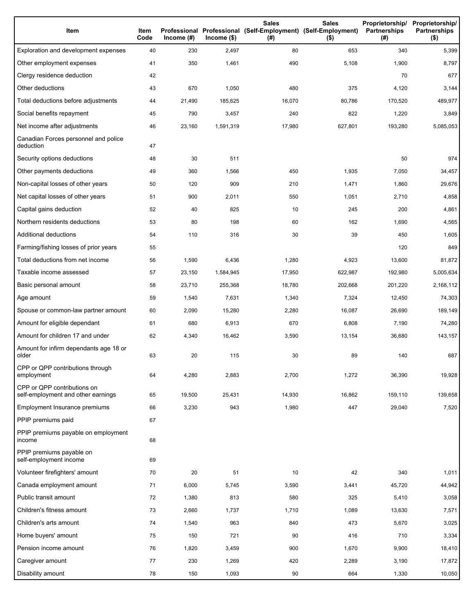| Item                                                              | Item<br>Code | Income $(\#)$ | $lncome$ (\$) | <b>Sales</b><br>Professional Professional (Self-Employment) (Self-Employment)<br>(#) | <b>Sales</b><br>$($ \$) | Partnerships<br>(#) | Proprietorship/ Proprietorship/<br><b>Partnerships</b><br>$($ \$) |
|-------------------------------------------------------------------|--------------|---------------|---------------|--------------------------------------------------------------------------------------|-------------------------|---------------------|-------------------------------------------------------------------|
| Exploration and development expenses                              | 40           | 230           | 2,497         | 80                                                                                   | 653                     | 340                 | 5,399                                                             |
| Other employment expenses                                         | 41           | 350           | 1,461         | 490                                                                                  | 5,108                   | 1,900               | 8,797                                                             |
| Clergy residence deduction                                        | 42           |               |               |                                                                                      |                         | 70                  | 677                                                               |
| Other deductions                                                  | 43           | 670           | 1,050         | 480                                                                                  | 375                     | 4,120               | 3,144                                                             |
| Total deductions before adjustments                               | 44           | 21,490        | 185,625       | 16,070                                                                               | 80,786                  | 170,520             | 489,977                                                           |
| Social benefits repayment                                         | 45           | 790           | 3,457         | 240                                                                                  | 822                     | 1,220               | 3,849                                                             |
| Net income after adjustments                                      | 46           | 23,160        | 1,591,319     | 17,980                                                                               | 627,801                 | 193,280             | 5,085,053                                                         |
| Canadian Forces personnel and police<br>deduction                 | 47           |               |               |                                                                                      |                         |                     |                                                                   |
| Security options deductions                                       | 48           | 30            | 511           |                                                                                      |                         | 50                  | 974                                                               |
| Other payments deductions                                         | 49           | 360           | 1,566         | 450                                                                                  | 1,935                   | 7,050               | 34,457                                                            |
| Non-capital losses of other years                                 | 50           | 120           | 909           | 210                                                                                  | 1,471                   | 1,860               | 29,676                                                            |
| Net capital losses of other years                                 | 51           | 900           | 2,011         | 550                                                                                  | 1,051                   | 2,710               | 4,858                                                             |
| Capital gains deduction                                           | 52           | 40            | 825           | 10                                                                                   | 245                     | 200                 | 4,861                                                             |
| Northern residents deductions                                     | 53           | 80            | 198           | 60                                                                                   | 162                     | 1,690               | 4,565                                                             |
| Additional deductions                                             | 54           | 110           | 316           | 30                                                                                   | 39                      | 450                 | 1,605                                                             |
| Farming/fishing losses of prior years                             | 55           |               |               |                                                                                      |                         | 120                 | 849                                                               |
| Total deductions from net income                                  | 56           | 1,590         | 6,436         | 1,280                                                                                | 4,923                   | 13,600              | 81,872                                                            |
| Taxable income assessed                                           | 57           | 23,150        | 1,584,945     | 17,950                                                                               | 622,987                 | 192,980             | 5,005,634                                                         |
| Basic personal amount                                             | 58           | 23,710        | 255,368       | 18,780                                                                               | 202,668                 | 201,220             | 2,168,112                                                         |
| Age amount                                                        | 59           | 1,540         | 7,631         | 1,340                                                                                | 7,324                   | 12,450              | 74,303                                                            |
| Spouse or common-law partner amount                               | 60           | 2,090         | 15,280        | 2,280                                                                                | 16,087                  | 26,690              | 189,149                                                           |
| Amount for eligible dependant                                     | 61           | 680           | 6,913         | 670                                                                                  | 6,808                   | 7,190               | 74,280                                                            |
| Amount for children 17 and under                                  | 62           | 4,340         | 16,462        | 3,590                                                                                | 13,154                  | 36,680              | 143,157                                                           |
| Amount for infirm dependants age 18 or<br>older                   | 63           | 20            | 115           | 30                                                                                   | 89                      | 140                 | 687                                                               |
| CPP or QPP contributions through<br>employment                    | 64           | 4,280         | 2,883         | 2,700                                                                                | 1,272                   | 36,390              | 19,928                                                            |
| CPP or QPP contributions on<br>self-employment and other earnings | 65           | 19,500        | 25,431        | 14,930                                                                               | 16,862                  | 159,110             | 139,658                                                           |
| Employment Insurance premiums                                     | 66           | 3,230         | 943           | 1,980                                                                                | 447                     | 29,040              | 7,520                                                             |
| PPIP premiums paid                                                | 67           |               |               |                                                                                      |                         |                     |                                                                   |
| PPIP premiums payable on employment<br>income                     | 68           |               |               |                                                                                      |                         |                     |                                                                   |
| PPIP premiums payable on<br>self-employment income                | 69           |               |               |                                                                                      |                         |                     |                                                                   |
| Volunteer firefighters' amount                                    | 70           | 20            | 51            | 10                                                                                   | 42                      | 340                 | 1,011                                                             |
| Canada employment amount                                          | 71           | 6,000         | 5,745         | 3,590                                                                                | 3,441                   | 45,720              | 44,942                                                            |
| Public transit amount                                             | 72           | 1,380         | 813           | 580                                                                                  | 325                     | 5,410               | 3,058                                                             |
| Children's fitness amount                                         | 73           | 2,660         | 1,737         | 1,710                                                                                | 1,089                   | 13,630              | 7,571                                                             |
| Children's arts amount                                            | 74           | 1,540         | 963           | 840                                                                                  | 473                     | 5,670               | 3,025                                                             |
| Home buyers' amount                                               | 75           | 150           | 721           | 90                                                                                   | 416                     | 710                 | 3,334                                                             |
| Pension income amount                                             | 76           | 1,820         | 3,459         | 900                                                                                  | 1,670                   | 9,900               | 18,410                                                            |
| Caregiver amount                                                  | 77           | 230           | 1,269         | 420                                                                                  | 2,289                   | 3,190               | 17,872                                                            |
| Disability amount                                                 | 78           | 150           | 1,093         | 90                                                                                   | 664                     | 1,330               | 10,050                                                            |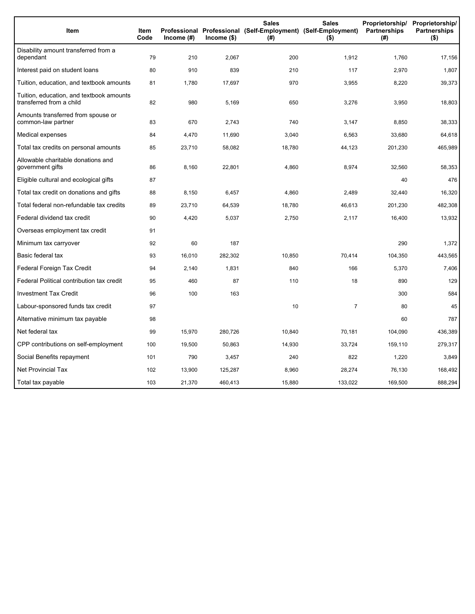| Item                                                                 | <b>Item</b><br>Code | Income (#) | Income (\$) | <b>Sales</b><br>Professional Professional (Self-Employment) (Self-Employment)<br>(#) | <b>Sales</b><br>$($ \$) | Proprietorship/<br>Partnerships<br>(#) | Proprietorship/<br><b>Partnerships</b><br>$($ \$) |
|----------------------------------------------------------------------|---------------------|------------|-------------|--------------------------------------------------------------------------------------|-------------------------|----------------------------------------|---------------------------------------------------|
| Disability amount transferred from a<br>dependant                    | 79                  | 210        | 2,067       | 200                                                                                  | 1,912                   | 1,760                                  | 17,156                                            |
| Interest paid on student loans                                       | 80                  | 910        | 839         | 210                                                                                  | 117                     | 2,970                                  | 1,807                                             |
| Tuition, education, and textbook amounts                             | 81                  | 1,780      | 17,697      | 970                                                                                  | 3,955                   | 8,220                                  | 39,373                                            |
| Tuition, education, and textbook amounts<br>transferred from a child | 82                  | 980        | 5,169       | 650                                                                                  | 3,276                   | 3,950                                  | 18,803                                            |
| Amounts transferred from spouse or<br>common-law partner             | 83                  | 670        | 2,743       | 740                                                                                  | 3,147                   | 8,850                                  | 38,333                                            |
| Medical expenses                                                     | 84                  | 4,470      | 11,690      | 3,040                                                                                | 6,563                   | 33,680                                 | 64,618                                            |
| Total tax credits on personal amounts                                | 85                  | 23,710     | 58,082      | 18,780                                                                               | 44,123                  | 201,230                                | 465,989                                           |
| Allowable charitable donations and<br>government gifts               | 86                  | 8,160      | 22,801      | 4,860                                                                                | 8,974                   | 32,560                                 | 58,353                                            |
| Eligible cultural and ecological gifts                               | 87                  |            |             |                                                                                      |                         | 40                                     | 476                                               |
| Total tax credit on donations and gifts                              | 88                  | 8,150      | 6,457       | 4,860                                                                                | 2,489                   | 32,440                                 | 16,320                                            |
| Total federal non-refundable tax credits                             | 89                  | 23,710     | 64,539      | 18,780                                                                               | 46,613                  | 201,230                                | 482,308                                           |
| Federal dividend tax credit                                          | 90                  | 4,420      | 5,037       | 2,750                                                                                | 2,117                   | 16,400                                 | 13,932                                            |
| Overseas employment tax credit                                       | 91                  |            |             |                                                                                      |                         |                                        |                                                   |
| Minimum tax carryover                                                | 92                  | 60         | 187         |                                                                                      |                         | 290                                    | 1,372                                             |
| Basic federal tax                                                    | 93                  | 16,010     | 282,302     | 10,850                                                                               | 70,414                  | 104,350                                | 443,565                                           |
| Federal Foreign Tax Credit                                           | 94                  | 2,140      | 1,831       | 840                                                                                  | 166                     | 5,370                                  | 7,406                                             |
| Federal Political contribution tax credit                            | 95                  | 460        | 87          | 110                                                                                  | 18                      | 890                                    | 129                                               |
| <b>Investment Tax Credit</b>                                         | 96                  | 100        | 163         |                                                                                      |                         | 300                                    | 584                                               |
| Labour-sponsored funds tax credit                                    | 97                  |            |             | 10                                                                                   | $\overline{7}$          | 80                                     | 45                                                |
| Alternative minimum tax payable                                      | 98                  |            |             |                                                                                      |                         | 60                                     | 787                                               |
| Net federal tax                                                      | 99                  | 15,970     | 280,726     | 10,840                                                                               | 70.181                  | 104,090                                | 436,389                                           |
| CPP contributions on self-employment                                 | 100                 | 19,500     | 50,863      | 14,930                                                                               | 33,724                  | 159,110                                | 279,317                                           |
| Social Benefits repayment                                            | 101                 | 790        | 3,457       | 240                                                                                  | 822                     | 1,220                                  | 3,849                                             |
| <b>Net Provincial Tax</b>                                            | 102                 | 13,900     | 125,287     | 8,960                                                                                | 28,274                  | 76,130                                 | 168,492                                           |
| Total tax payable                                                    | 103                 | 21,370     | 460,413     | 15,880                                                                               | 133,022                 | 169,500                                | 888,294                                           |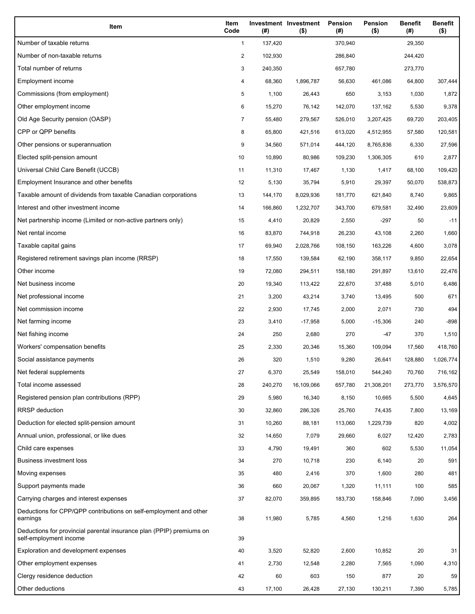| Item                                                                                           | Item<br>Code | (#)     | Investment Investment<br>$($ \$) | Pension<br>(#) | Pension<br>$($ \$) | <b>Benefit</b><br>(#) | <b>Benefit</b><br>$($ \$) |
|------------------------------------------------------------------------------------------------|--------------|---------|----------------------------------|----------------|--------------------|-----------------------|---------------------------|
| Number of taxable returns                                                                      | $\mathbf{1}$ | 137,420 |                                  | 370,940        |                    | 29,350                |                           |
| Number of non-taxable returns                                                                  | 2            | 102,930 |                                  | 286,840        |                    | 244,420               |                           |
| Total number of returns                                                                        | 3            | 240,350 |                                  | 657,780        |                    | 273,770               |                           |
| Employment income                                                                              | 4            | 68,360  | 1,896,787                        | 56,630         | 461,086            | 64,800                | 307,444                   |
| Commissions (from employment)                                                                  | 5            | 1,100   | 26,443                           | 650            | 3,153              | 1,030                 | 1,872                     |
| Other employment income                                                                        | 6            | 15,270  | 76,142                           | 142,070        | 137,162            | 5,530                 | 9,378                     |
| Old Age Security pension (OASP)                                                                | 7            | 55,480  | 279,567                          | 526,010        | 3,207,425          | 69,720                | 203,405                   |
| CPP or QPP benefits                                                                            | 8            | 65,800  | 421,516                          | 613,020        | 4,512,955          | 57,580                | 120,581                   |
| Other pensions or superannuation                                                               | 9            | 34,560  | 571,014                          | 444,120        | 8,765,836          | 6,330                 | 27,596                    |
| Elected split-pension amount                                                                   | 10           | 10,890  | 80,986                           | 109,230        | 1,306,305          | 610                   | 2,877                     |
| Universal Child Care Benefit (UCCB)                                                            | 11           | 11,310  | 17,467                           | 1,130          | 1,417              | 68,100                | 109,420                   |
| Employment Insurance and other benefits                                                        | 12           | 5,130   | 35,794                           | 5,910          | 29,397             | 50,070                | 538,873                   |
| Taxable amount of dividends from taxable Canadian corporations                                 | 13           | 144,170 | 8,029,936                        | 181,770        | 621,840            | 8,740                 | 9,865                     |
| Interest and other investment income                                                           | 14           | 166,860 | 1,232,707                        | 343,700        | 679,581            | 32,490                | 23,609                    |
| Net partnership income (Limited or non-active partners only)                                   | 15           | 4,410   | 20,829                           | 2,550          | $-297$             | 50                    | $-11$                     |
| Net rental income                                                                              | 16           | 83,870  | 744,918                          | 26,230         | 43,108             | 2,260                 | 1,660                     |
| Taxable capital gains                                                                          | 17           | 69,940  | 2,028,766                        | 108,150        | 163,226            | 4,600                 | 3,078                     |
| Registered retirement savings plan income (RRSP)                                               | 18           | 17,550  | 139,584                          | 62,190         | 358,117            | 9,850                 | 22,654                    |
| Other income                                                                                   | 19           | 72,080  | 294,511                          | 158,180        | 291,897            | 13,610                | 22,476                    |
| Net business income                                                                            | 20           | 19,340  | 113,422                          | 22,670         | 37,488             | 5,010                 | 6,486                     |
| Net professional income                                                                        | 21           | 3,200   | 43,214                           | 3,740          | 13,495             | 500                   | 671                       |
| Net commission income                                                                          | 22           | 2,930   | 17,745                           | 2,000          | 2,071              | 730                   | 494                       |
| Net farming income                                                                             | 23           | 3,410   | $-17,958$                        | 5,000          | $-15,306$          | 240                   | -898                      |
| Net fishing income                                                                             | 24           | 250     | 2,680                            | 270            | -47                | 370                   | 1,510                     |
| Workers' compensation benefits                                                                 | 25           | 2,330   | 20,346                           | 15,360         | 109,094            | 17,560                | 418,760                   |
| Social assistance payments                                                                     | 26           | 320     | 1,510                            | 9,280          | 26,641             | 128,880               | 1,026,774                 |
| Net federal supplements                                                                        | 27           | 6,370   | 25,549                           | 158,010        | 544,240            | 70,760                | 716,162                   |
| Total income assessed                                                                          | 28           | 240,270 | 16,109,066                       | 657,780        | 21,308,201         | 273,770               | 3,576,570                 |
| Registered pension plan contributions (RPP)                                                    | 29           | 5,980   | 16,340                           | 8,150          | 10,665             | 5,500                 | 4,645                     |
| RRSP deduction                                                                                 | 30           | 32,860  | 286,326                          | 25,760         | 74,435             | 7,800                 | 13,169                    |
| Deduction for elected split-pension amount                                                     | 31           | 10,260  | 88,181                           | 113,060        | 1,229,739          | 820                   | 4,002                     |
| Annual union, professional, or like dues                                                       | 32           | 14,650  | 7,079                            | 29,660         | 6,027              | 12,420                | 2,783                     |
| Child care expenses                                                                            | 33           | 4,790   | 19,491                           | 360            | 602                | 5,530                 | 11,054                    |
| Business investment loss                                                                       | 34           | 270     | 10,718                           | 230            | 6,140              | 20                    | 591                       |
| Moving expenses                                                                                | 35           | 480     | 2,416                            | 370            | 1,600              | 280                   | 481                       |
| Support payments made                                                                          | 36           | 660     | 20,067                           | 1,320          | 11,111             | 100                   | 585                       |
| Carrying charges and interest expenses                                                         | 37           | 82,070  | 359,895                          | 183,730        | 158,846            | 7,090                 | 3,456                     |
| Deductions for CPP/QPP contributions on self-employment and other<br>earnings                  | 38           | 11,980  | 5,785                            | 4,560          | 1,216              | 1,630                 | 264                       |
| Deductions for provincial parental insurance plan (PPIP) premiums on<br>self-employment income | 39           |         |                                  |                |                    |                       |                           |
| Exploration and development expenses                                                           | 40           | 3,520   | 52,820                           | 2,600          | 10,852             | 20                    | 31                        |
| Other employment expenses                                                                      | 41           | 2,730   | 12,548                           | 2,280          | 7,565              | 1,090                 | 4,310                     |
| Clergy residence deduction                                                                     | 42           | 60      | 603                              | 150            | 877                | 20                    | 59                        |
| Other deductions                                                                               | 43           | 17,100  | 26,428                           | 27,130         | 130,211            | 7,390                 | 5,785                     |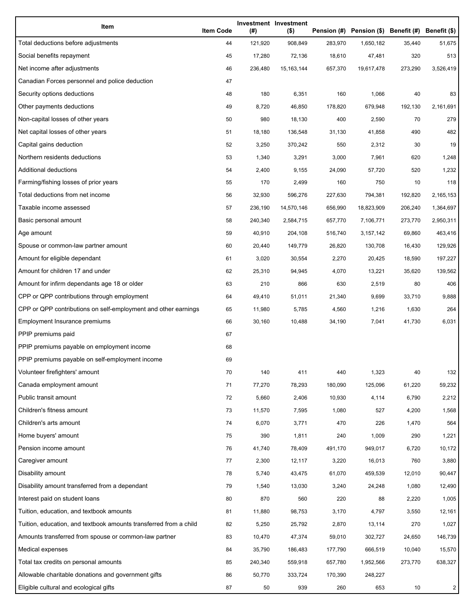| Item                                                              | <b>Item Code</b> | (#)     | Investment Investment<br>$($ \$) |         | Pension (#) Pension (\$) Benefit (#) Benefit (\$) |         |           |
|-------------------------------------------------------------------|------------------|---------|----------------------------------|---------|---------------------------------------------------|---------|-----------|
| Total deductions before adjustments                               | 44               | 121,920 | 908,849                          | 283,970 | 1,650,182                                         | 35,440  | 51,675    |
| Social benefits repayment                                         | 45               | 17,280  | 72,136                           | 18,610  | 47,481                                            | 320     | 513       |
| Net income after adjustments                                      | 46               | 236,480 | 15, 163, 144                     | 657,370 | 19,617,478                                        | 273,290 | 3,526,419 |
| Canadian Forces personnel and police deduction                    | 47               |         |                                  |         |                                                   |         |           |
| Security options deductions                                       | 48               | 180     | 6,351                            | 160     | 1,066                                             | 40      | 83        |
| Other payments deductions                                         | 49               | 8,720   | 46,850                           | 178,820 | 679,948                                           | 192,130 | 2,161,691 |
| Non-capital losses of other years                                 | 50               | 980     | 18,130                           | 400     | 2,590                                             | 70      | 279       |
| Net capital losses of other years                                 | 51               | 18,180  | 136,548                          | 31,130  | 41,858                                            | 490     | 482       |
| Capital gains deduction                                           | 52               | 3,250   | 370,242                          | 550     | 2,312                                             | 30      | 19        |
| Northern residents deductions                                     | 53               | 1,340   | 3,291                            | 3,000   | 7,961                                             | 620     | 1,248     |
| Additional deductions                                             | 54               | 2,400   | 9,155                            | 24,090  | 57,720                                            | 520     | 1,232     |
| Farming/fishing losses of prior years                             | 55               | 170     | 2,499                            | 160     | 750                                               | 10      | 118       |
| Total deductions from net income                                  | 56               | 32,930  | 596,276                          | 227,630 | 794,381                                           | 192,820 | 2,165,153 |
| Taxable income assessed                                           | 57               | 236,190 | 14,570,146                       | 656,990 | 18,823,909                                        | 206,240 | 1,364,697 |
| Basic personal amount                                             | 58               | 240,340 | 2,584,715                        | 657,770 | 7,106,771                                         | 273,770 | 2,950,311 |
| Age amount                                                        | 59               | 40,910  | 204,108                          | 516,740 | 3,157,142                                         | 69,860  | 463,416   |
| Spouse or common-law partner amount                               | 60               | 20,440  | 149,779                          | 26,820  | 130,708                                           | 16,430  | 129,926   |
| Amount for eligible dependant                                     | 61               | 3,020   | 30,554                           | 2,270   | 20,425                                            | 18,590  | 197,227   |
| Amount for children 17 and under                                  | 62               | 25,310  | 94,945                           | 4,070   | 13,221                                            | 35,620  | 139,562   |
| Amount for infirm dependants age 18 or older                      | 63               | 210     | 866                              | 630     | 2,519                                             | 80      | 406       |
| CPP or QPP contributions through employment                       | 64               | 49,410  | 51,011                           | 21,340  | 9,699                                             | 33,710  | 9,888     |
| CPP or QPP contributions on self-employment and other earnings    | 65               | 11,980  | 5,785                            | 4,560   | 1,216                                             | 1,630   | 264       |
| Employment Insurance premiums                                     | 66               | 30,160  | 10,488                           | 34,190  | 7,041                                             | 41,730  | 6,031     |
| PPIP premiums paid                                                | 67               |         |                                  |         |                                                   |         |           |
| PPIP premiums payable on employment income                        | 68               |         |                                  |         |                                                   |         |           |
| PPIP premiums payable on self-employment income                   | 69               |         |                                  |         |                                                   |         |           |
| Volunteer firefighters' amount                                    | 70               | 140     | 411                              | 440     | 1,323                                             | 40      | 132       |
| Canada employment amount                                          | 71               | 77,270  | 78,293                           | 180,090 | 125,096                                           | 61,220  | 59,232    |
| Public transit amount                                             | 72               | 5,660   | 2,406                            | 10,930  | 4,114                                             | 6,790   | 2,212     |
| Children's fitness amount                                         | 73               | 11,570  | 7,595                            | 1,080   | 527                                               | 4,200   | 1,568     |
| Children's arts amount                                            | 74               | 6,070   | 3,771                            | 470     | 226                                               | 1,470   | 564       |
| Home buyers' amount                                               | 75               | 390     | 1,811                            | 240     | 1,009                                             | 290     | 1,221     |
| Pension income amount                                             | 76               | 41,740  | 78,409                           | 491,170 | 949,017                                           | 6,720   | 10,172    |
| Caregiver amount                                                  | 77               | 2,300   | 12,117                           | 3,220   | 16,013                                            | 760     | 3,880     |
| Disability amount                                                 | 78               | 5,740   | 43,475                           | 61,070  | 459,539                                           | 12,010  | 90,447    |
| Disability amount transferred from a dependant                    | 79               | 1,540   | 13,030                           | 3,240   | 24,248                                            | 1,080   | 12,490    |
| Interest paid on student loans                                    | 80               | 870     | 560                              | 220     | 88                                                | 2,220   | 1,005     |
| Tuition, education, and textbook amounts                          | 81               | 11,880  | 98,753                           | 3,170   | 4,797                                             | 3,550   | 12,161    |
| Tuition, education, and textbook amounts transferred from a child | 82               | 5,250   | 25,792                           | 2,870   | 13,114                                            | 270     | 1,027     |
| Amounts transferred from spouse or common-law partner             | 83               | 10,470  | 47,374                           | 59,010  | 302,727                                           | 24,650  | 146,739   |
| Medical expenses                                                  | 84               | 35,790  | 186,483                          | 177,790 | 666,519                                           | 10,040  | 15,570    |
| Total tax credits on personal amounts                             | 85               | 240,340 | 559,918                          | 657,780 | 1,952,566                                         | 273,770 | 638,327   |
| Allowable charitable donations and government gifts               | 86               | 50,770  | 333,724                          | 170,390 | 248,227                                           |         |           |
| Eligible cultural and ecological gifts                            | 87               | 50      | 939                              | 260     | 653                                               | 10      | 2         |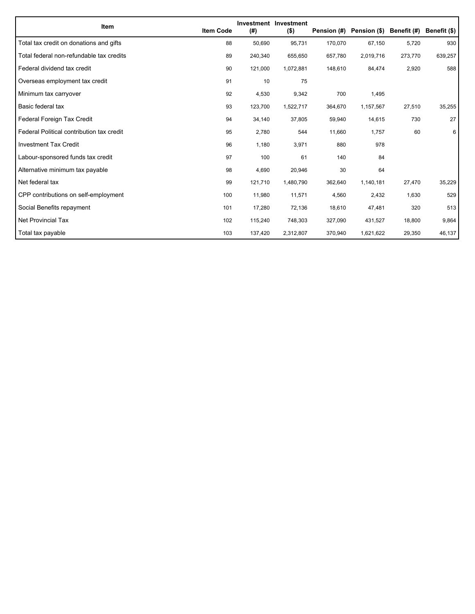| Item                                      | <b>Item Code</b> | (#)     | Investment Investment<br>$($ \$) | Pension (#) | Pension (\$) Benefit (#) |         | Benefit (\$) |
|-------------------------------------------|------------------|---------|----------------------------------|-------------|--------------------------|---------|--------------|
| Total tax credit on donations and gifts   | 88               | 50,690  | 95.731                           | 170,070     | 67,150                   | 5,720   | 930          |
| Total federal non-refundable tax credits  | 89               | 240,340 | 655,650                          | 657,780     | 2,019,716                | 273,770 | 639,257      |
| Federal dividend tax credit               | 90               | 121,000 | 1,072,881                        | 148,610     | 84,474                   | 2,920   | 588          |
| Overseas employment tax credit            | 91               | 10      | 75                               |             |                          |         |              |
| Minimum tax carryover                     | 92               | 4,530   | 9,342                            | 700         | 1,495                    |         |              |
| Basic federal tax                         | 93               | 123,700 | 1,522,717                        | 364,670     | 1,157,567                | 27,510  | 35,255       |
| Federal Foreign Tax Credit                | 94               | 34,140  | 37,805                           | 59,940      | 14,615                   | 730     | 27           |
| Federal Political contribution tax credit | 95               | 2,780   | 544                              | 11,660      | 1,757                    | 60      | 6            |
| <b>Investment Tax Credit</b>              | 96               | 1,180   | 3,971                            | 880         | 978                      |         |              |
| Labour-sponsored funds tax credit         | 97               | 100     | 61                               | 140         | 84                       |         |              |
| Alternative minimum tax payable           | 98               | 4,690   | 20,946                           | 30          | 64                       |         |              |
| Net federal tax                           | 99               | 121,710 | 1,480,790                        | 362,640     | 1,140,181                | 27,470  | 35,229       |
| CPP contributions on self-employment      | 100              | 11,980  | 11,571                           | 4,560       | 2,432                    | 1,630   | 529          |
| Social Benefits repayment                 | 101              | 17,280  | 72,136                           | 18,610      | 47,481                   | 320     | 513          |
| <b>Net Provincial Tax</b>                 | 102              | 115,240 | 748,303                          | 327,090     | 431,527                  | 18,800  | 9,864        |
| Total tax payable                         | 103              | 137,420 | 2,312,807                        | 370,940     | 1,621,622                | 29,350  | 46,137       |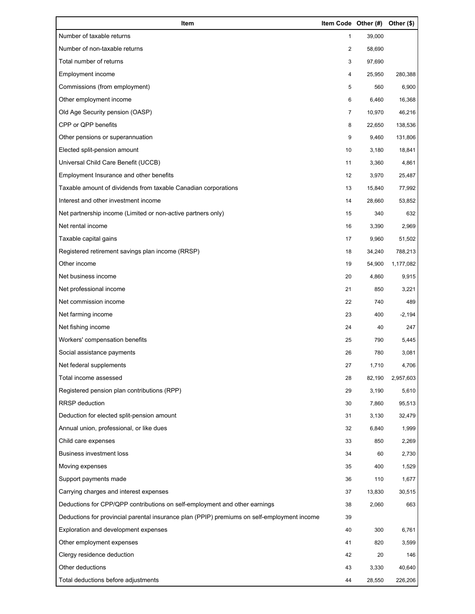| Item                                                                                        | Item Code Other (#) |        | Other (\$) |
|---------------------------------------------------------------------------------------------|---------------------|--------|------------|
| Number of taxable returns                                                                   | 1                   | 39,000 |            |
| Number of non-taxable returns                                                               | $\overline{2}$      | 58,690 |            |
| Total number of returns                                                                     | 3                   | 97,690 |            |
| Employment income                                                                           | 4                   | 25,950 | 280,388    |
| Commissions (from employment)                                                               | 5                   | 560    | 6,900      |
| Other employment income                                                                     | 6                   | 6,460  | 16,368     |
| Old Age Security pension (OASP)                                                             | 7                   | 10,970 | 46,216     |
| CPP or QPP benefits                                                                         | 8                   | 22,650 | 138,536    |
| Other pensions or superannuation                                                            | 9                   | 9,460  | 131,806    |
| Elected split-pension amount                                                                | 10                  | 3,180  | 18,841     |
| Universal Child Care Benefit (UCCB)                                                         | 11                  | 3,360  | 4,861      |
| Employment Insurance and other benefits                                                     | 12                  | 3,970  | 25,487     |
| Taxable amount of dividends from taxable Canadian corporations                              | 13                  | 15,840 | 77,992     |
| Interest and other investment income                                                        | 14                  | 28,660 | 53,852     |
| Net partnership income (Limited or non-active partners only)                                | 15                  | 340    | 632        |
| Net rental income                                                                           | 16                  | 3,390  | 2,969      |
| Taxable capital gains                                                                       | 17                  | 9,960  | 51,502     |
| Registered retirement savings plan income (RRSP)                                            | 18                  | 34,240 | 788,213    |
| Other income                                                                                | 19                  | 54,900 | 1,177,082  |
| Net business income                                                                         | 20                  | 4,860  | 9,915      |
| Net professional income                                                                     | 21                  | 850    | 3,221      |
| Net commission income                                                                       | 22                  | 740    | 489        |
| Net farming income                                                                          | 23                  | 400    | $-2,194$   |
| Net fishing income                                                                          | 24                  | 40     | 247        |
| Workers' compensation benefits                                                              | 25                  | 790    | 5,445      |
| Social assistance payments                                                                  | 26                  | 780    | 3,081      |
| Net federal supplements                                                                     | 27                  | 1,710  | 4,706      |
| Total income assessed                                                                       | 28                  | 82,190 | 2,957,603  |
| Registered pension plan contributions (RPP)                                                 | 29                  | 3,190  | 5,610      |
| <b>RRSP</b> deduction                                                                       | 30                  | 7,860  | 95,513     |
| Deduction for elected split-pension amount                                                  | 31                  | 3,130  | 32,479     |
| Annual union, professional, or like dues                                                    | 32                  | 6,840  | 1,999      |
| Child care expenses                                                                         | 33                  | 850    | 2,269      |
| <b>Business investment loss</b>                                                             | 34                  | 60     | 2,730      |
| Moving expenses                                                                             | 35                  | 400    | 1,529      |
| Support payments made                                                                       | 36                  | 110    | 1,677      |
| Carrying charges and interest expenses                                                      | 37                  | 13,830 | 30,515     |
| Deductions for CPP/QPP contributions on self-employment and other earnings                  | 38                  | 2,060  | 663        |
| Deductions for provincial parental insurance plan (PPIP) premiums on self-employment income | 39                  |        |            |
| Exploration and development expenses                                                        | 40                  | 300    | 6,761      |
| Other employment expenses                                                                   | 41                  | 820    | 3,599      |
| Clergy residence deduction                                                                  | 42                  | 20     | 146        |
| Other deductions                                                                            | 43                  | 3,330  | 40,640     |
| Total deductions before adjustments                                                         | 44                  | 28,550 | 226,206    |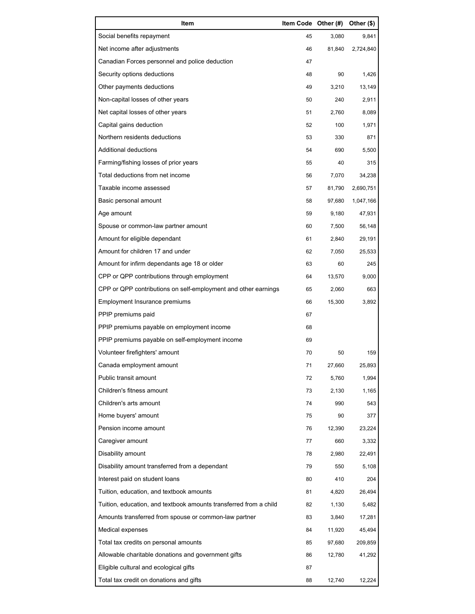| Item                                                              | Item Code Other (#) |        | Other (\$) |
|-------------------------------------------------------------------|---------------------|--------|------------|
| Social benefits repayment                                         | 45                  | 3,080  | 9,841      |
| Net income after adjustments                                      | 46                  | 81,840 | 2,724,840  |
| Canadian Forces personnel and police deduction                    | 47                  |        |            |
| Security options deductions                                       | 48                  | 90     | 1,426      |
| Other payments deductions                                         | 49                  | 3,210  | 13,149     |
| Non-capital losses of other years                                 | 50                  | 240    | 2,911      |
| Net capital losses of other years                                 | 51                  | 2,760  | 8,089      |
| Capital gains deduction                                           | 52                  | 100    | 1,971      |
| Northern residents deductions                                     | 53                  | 330    | 871        |
| Additional deductions                                             | 54                  | 690    | 5,500      |
| Farming/fishing losses of prior years                             | 55                  | 40     | 315        |
| Total deductions from net income                                  | 56                  | 7,070  | 34,238     |
| Taxable income assessed                                           | 57                  | 81,790 | 2,690,751  |
| Basic personal amount                                             | 58                  | 97,680 | 1,047,166  |
| Age amount                                                        | 59                  | 9,180  | 47,931     |
| Spouse or common-law partner amount                               | 60                  | 7,500  | 56,148     |
| Amount for eligible dependant                                     | 61                  | 2,840  | 29,191     |
| Amount for children 17 and under                                  | 62                  | 7,050  | 25,533     |
| Amount for infirm dependants age 18 or older                      | 63                  | 60     | 245        |
| CPP or QPP contributions through employment                       | 64                  | 13,570 | 9,000      |
| CPP or QPP contributions on self-employment and other earnings    | 65                  | 2,060  | 663        |
| Employment Insurance premiums                                     | 66                  | 15,300 | 3,892      |
| PPIP premiums paid                                                | 67                  |        |            |
| PPIP premiums payable on employment income                        | 68                  |        |            |
| PPIP premiums payable on self-employment income                   | 69                  |        |            |
| Volunteer firefighters' amount                                    | 70                  | 50     | 159        |
| Canada employment amount                                          | 71                  | 27,660 | 25,893     |
| Public transit amount                                             | 72                  | 5,760  | 1,994      |
| Children's fitness amount                                         | 73                  | 2,130  | 1,165      |
| Children's arts amount                                            | 74                  | 990    | 543        |
| Home buyers' amount                                               | 75                  | 90     | 377        |
| Pension income amount                                             | 76                  | 12,390 | 23,224     |
| Caregiver amount                                                  | 77                  | 660    | 3,332      |
| Disability amount                                                 | 78                  | 2,980  | 22,491     |
| Disability amount transferred from a dependant                    | 79                  | 550    | 5,108      |
| Interest paid on student loans                                    | 80                  | 410    | 204        |
| Tuition, education, and textbook amounts                          | 81                  | 4,820  | 26,494     |
| Tuition, education, and textbook amounts transferred from a child | 82                  | 1,130  | 5,482      |
| Amounts transferred from spouse or common-law partner             | 83                  | 3,840  | 17,281     |
| Medical expenses                                                  | 84                  | 11,920 | 45,494     |
| Total tax credits on personal amounts                             | 85                  | 97,680 | 209,859    |
| Allowable charitable donations and government gifts               | 86                  | 12,780 | 41,292     |
| Eligible cultural and ecological gifts                            | 87                  |        |            |
| Total tax credit on donations and gifts                           | 88                  | 12,740 | 12,224     |